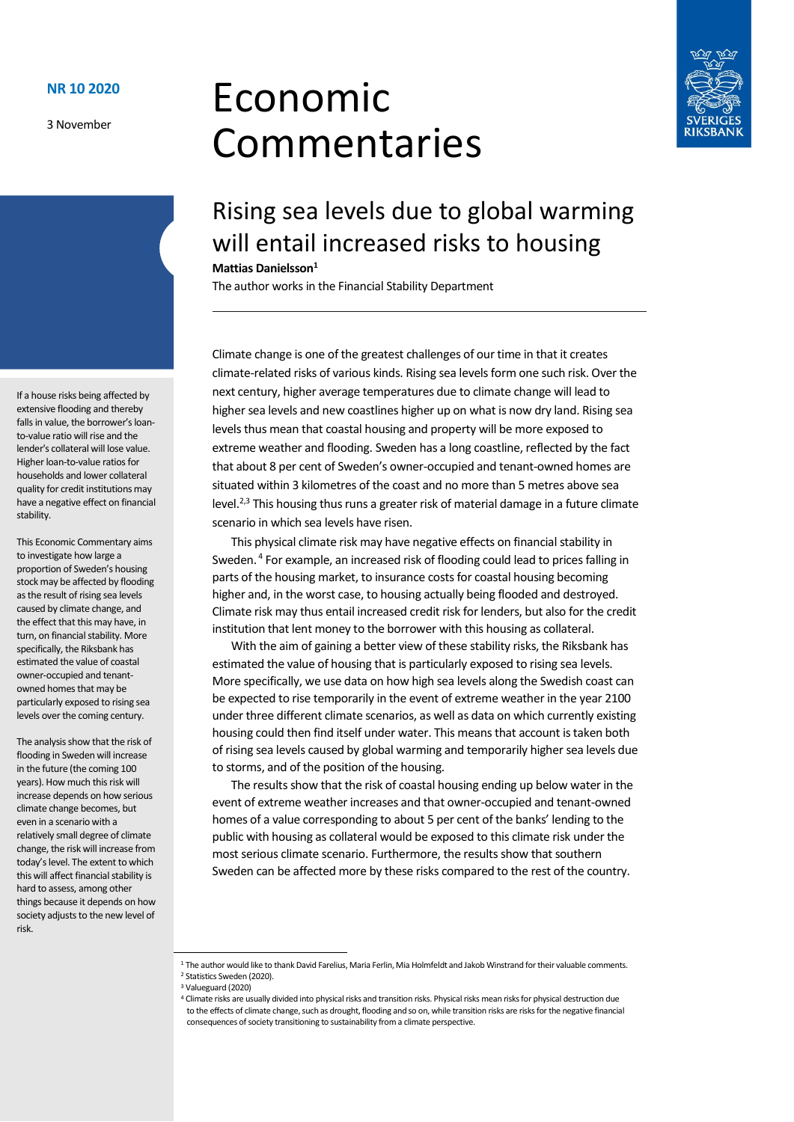3 November

# Economic Commentaries



## Rising sea levels due to global warming will entail increased risks to housing

#### **Mattias Danielsson<sup>1</sup>**

The author works in the Financial Stability Department

Climate change is one of the greatest challenges of our time in that it creates climate-related risks of various kinds. Rising sea levels form one such risk. Over the next century, higher average temperatures due to climate change will lead to higher sea levels and new coastlines higher up on what is now dry land. Rising sea levels thus mean that coastal housing and property will be more exposed to extreme weather and flooding. Sweden has a long coastline, reflected by the fact that about 8 per cent of Sweden's owner-occupied and tenant-owned homes are situated within 3 kilometres of the coast and no more than 5 metres above sea level.<sup>2,3</sup> This housing thus runs a greater risk of material damage in a future climate scenario in which sea levels have risen.

This physical climate risk may have negative effects on financial stability in Sweden.<sup>4</sup> For example, an increased risk of flooding could lead to prices falling in parts of the housing market, to insurance costs for coastal housing becoming higher and, in the worst case, to housing actually being flooded and destroyed. Climate risk may thus entail increased credit risk for lenders, but also for the credit institution that lent money to the borrower with this housing as collateral.

With the aim of gaining a better view of these stability risks, the Riksbank has estimated the value of housing that is particularly exposed to rising sea levels. More specifically, we use data on how high sea levels along the Swedish coast can be expected to rise temporarily in the event of extreme weather in the year 2100 under three different climate scenarios, as well as data on which currently existing housing could then find itself under water. This means that account is taken both of rising sea levels caused by global warming and temporarily higher sea levels due to storms, and of the position of the housing.

The results show that the risk of coastal housing ending up below water in the event of extreme weather increases and that owner-occupied and tenant-owned homes of a value corresponding to about 5 per cent of the banks' lending to the public with housing as collateral would be exposed to this climate risk under the most serious climate scenario. Furthermore, the results show that southern Sweden can be affected more by these risks compared to the rest of the country.

If a house risks being affected by extensive flooding and thereby falls in value, the borrower's loanto-value ratio will rise and the lender's collateral will lose value. Higher loan-to-value ratios for households and lower collateral quality for credit institutions may have a negative effect on financial stability.

This Economic Commentary aims to investigate how large a proportion of Sweden's housing stock may be affected by flooding as the result of rising sea levels caused by climate change, and the effect that this may have, in turn, on financial stability. More specifically, the Riksbank has estimated the value of coastal owner-occupied and tenantowned homes that may be particularly exposed to rising sea levels over the coming century.

The analysis show that the risk of flooding in Sweden will increase in the future (the coming 100 years). How much this risk will increase depends on how serious climate change becomes, but even in a scenario with a relatively small degree of climate change, the risk will increase from today's level. The extent to which this will affect financial stability is hard to assess, among other things because it depends on how society adjusts to the new level of risk.

<sup>1</sup> The author would like to thank David Farelius, Maria Ferlin, Mia Holmfeldt and Jakob Winstrand for their valuable comments. <sup>2</sup> Statistics Sweden (2020).

<sup>3</sup> Valueguard (2020)

<sup>4</sup> Climate risks are usually divided into physical risks and transition risks. Physical risks mean risks for physical destruction due a to the effects of climate change, such as drought, flooding and so on, while transition risks are risks for the negative financial a consequences of society transitioning to sustainability from a climate perspective.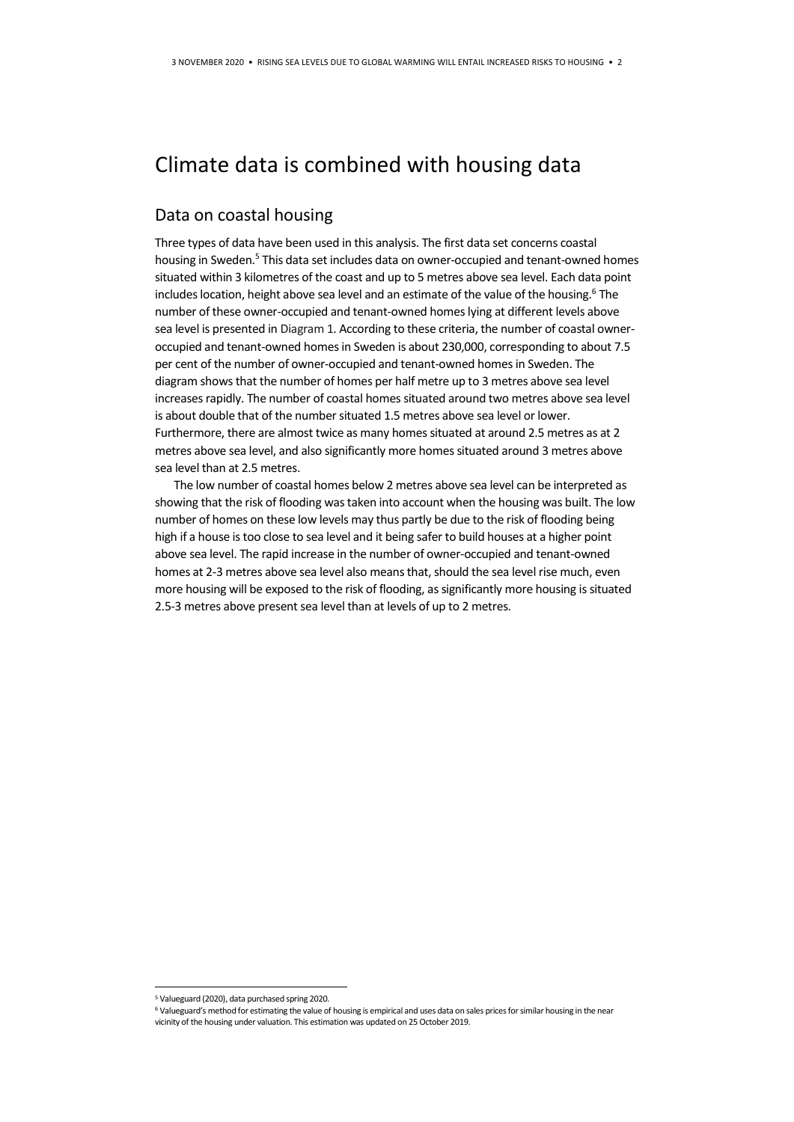## Climate data is combined with housing data

#### Data on coastal housing

Three types of data have been used in this analysis. The first data set concerns coastal housing in Sweden.<sup>5</sup> This data set includes data on owner-occupied and tenant-owned homes situated within 3 kilometres of the coast and up to 5 metres above sea level. Each data point includes location, height above sea level and an estimate of the value of the housing.<sup>6</sup> The number of these owner-occupied and tenant-owned homes lying at different levels above sea level is presented i[n Diagram 1.](#page-2-0) According to these criteria, the number of coastal owneroccupied and tenant-owned homes in Sweden is about 230,000, corresponding to about 7.5 per cent of the number of owner-occupied and tenant-owned homes in Sweden. The diagram shows that the number of homes per half metre up to 3 metres above sea level increases rapidly. The number of coastal homes situated around two metres above sea level is about double that of the number situated 1.5 metres above sea level or lower. Furthermore, there are almost twice as many homes situated at around 2.5 metres as at 2 metres above sea level, and also significantly more homes situated around 3 metres above sea level than at 2.5 metres.

The low number of coastal homes below 2 metres above sea level can be interpreted as showing that the risk of flooding was taken into account when the housing was built. The low number of homes on these low levels may thus partly be due to the risk of flooding being high if a house is too close to sea level and it being safer to build houses at a higher point above sea level. The rapid increase in the number of owner-occupied and tenant-owned homes at 2-3 metres above sea level also means that, should the sea level rise much, even more housing will be exposed to the risk of flooding, as significantly more housing is situated 2.5-3 metres above present sea level than at levels of up to 2 metres.

**.** 

<sup>5</sup> Valueguard (2020), data purchased spring 2020.

<sup>&</sup>lt;sup>6</sup> Valueguard's method for estimating the value of housing is empirical and uses data on sales prices for similar housing in the near vicinity of the housing under valuation. This estimation was updated on 25 October 2019.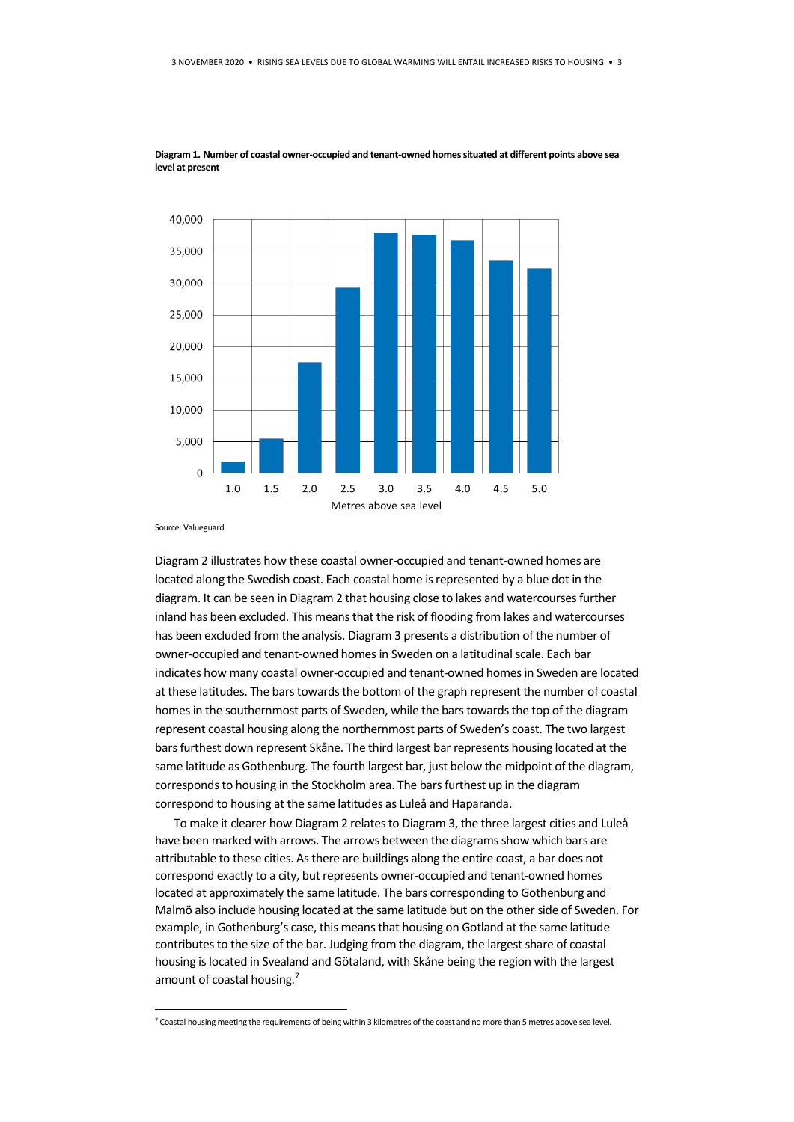

<span id="page-2-0"></span>**Diagram 1. Number of coastal owner-occupied and tenant-owned homes situated at different points above sea level at present**

Source: Valueguard.

1

[Diagram 2](#page-3-0) illustrates how these coastal owner-occupied and tenant-owned homes are located along the Swedish coast. Each coastal home is represented by a blue dot in the diagram. It can be seen i[n Diagram 2](#page-3-0) that housing close to lakes and watercourses further inland has been excluded. This means that the risk of flooding from lakes and watercourses has been excluded from the analysis[. Diagram 3](#page-3-1) presents a distribution of the number of owner-occupied and tenant-owned homes in Sweden on a latitudinal scale. Each bar indicates how many coastal owner-occupied and tenant-owned homes in Sweden are located at these latitudes. The bars towards the bottom of the graph represent the number of coastal homes in the southernmost parts of Sweden, while the bars towards the top of the diagram represent coastal housing along the northernmost parts of Sweden's coast. The two largest bars furthest down represent Skåne. The third largest bar represents housing located at the same latitude as Gothenburg. The fourth largest bar, just below the midpoint of the diagram, corresponds to housing in the Stockholm area. The bars furthest up in the diagram correspond to housing at the same latitudes as Luleå and Haparanda.

To make it clearer ho[w Diagram 2](#page-3-0) relates t[o Diagram 3,](#page-3-1) the three largest cities and Luleå have been marked with arrows. The arrows between the diagrams show which bars are attributable to these cities. As there are buildings along the entire coast, a bar does not correspond exactly to a city, but represents owner-occupied and tenant-owned homes located at approximately the same latitude. The bars corresponding to Gothenburg and Malmö also include housing located at the same latitude but on the other side of Sweden. For example, in Gothenburg's case, this meansthat housing on Gotland at the same latitude contributes to the size of the bar. Judging from the diagram, the largest share of coastal housing is located in Svealand and Götaland, with Skåne being the region with the largest amount of coastal housing.<sup>7</sup>

<sup>7</sup> Coastal housing meeting the requirements of being within 3 kilometres of the coast and no more than 5 metres above sea level.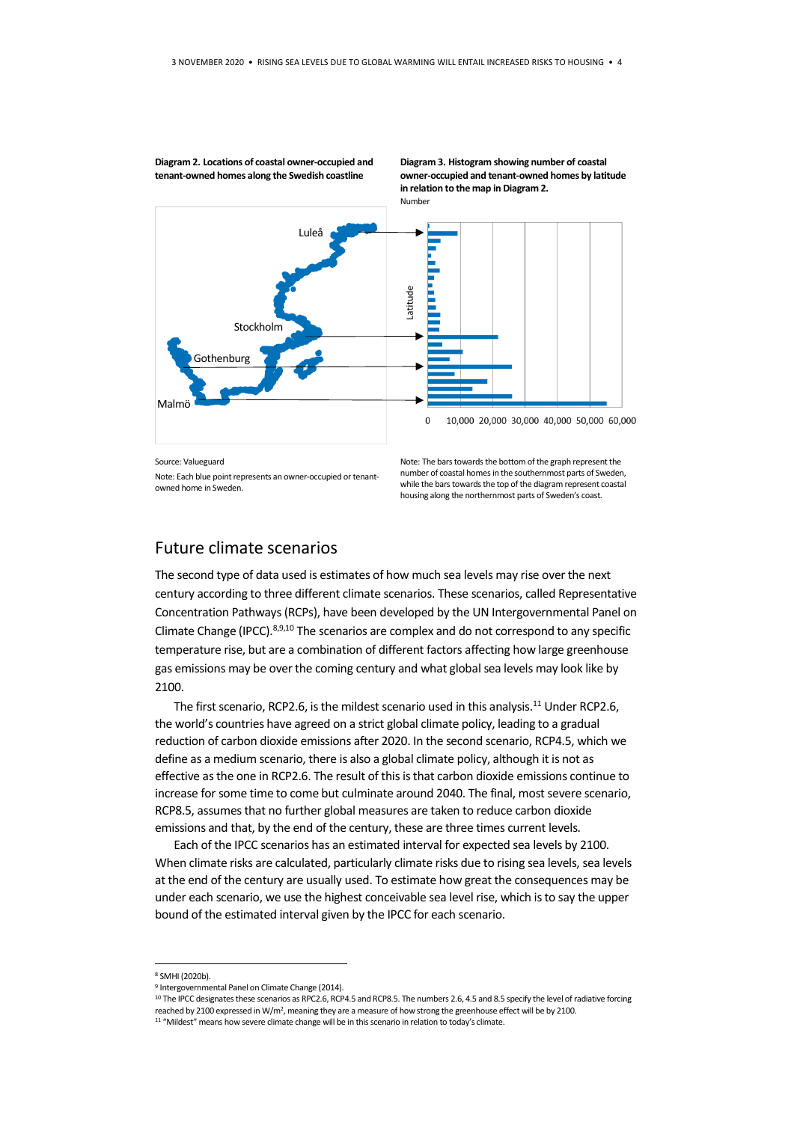Luleå -atitude Stockholm **Gothenburg** Malmö $\Omega$ 

<span id="page-3-0"></span>**Diagram 2. Locations of coastal owner-occupied and tenant-owned homes along the Swedish coastline**

Note: Each blue point represents an owner-occupied or tenantowned home in Sweden.



Note: The bars towards the bottom of the graph represent the number of coastal homes in the southernmost parts of Sweden, while the bars towards the top of the diagram represent coastal housing along the northernmost parts of Sweden's coast.

Future climate scenarios

Source: Valueguard

The second type of data used is estimates of how much sea levels may rise over the next century according to three different climate scenarios. These scenarios, called Representative Concentration Pathways (RCPs), have been developed by the UN Intergovernmental Panel on Climate Change (IPCC). 8,9,10 The scenarios are complex and do not correspond to any specific temperature rise, but are a combination of different factors affecting how large greenhouse gas emissions may be over the coming century and what global sea levels may look like by 2100.

The first scenario, RCP2.6, is the mildest scenario used in this analysis.<sup>11</sup> Under RCP2.6, the world's countries have agreed on a strict global climate policy, leading to a gradual reduction of carbon dioxide emissions after 2020. In the second scenario, RCP4.5, which we define as a medium scenario, there is also a global climate policy, although it is not as effective as the one in RCP2.6. The result of this is that carbon dioxide emissions continue to increase for some time to come but culminate around 2040. The final, most severe scenario, RCP8.5, assumes that no further global measures are taken to reduce carbon dioxide emissions and that, by the end of the century, these are three times current levels.

Each of the IPCC scenarios has an estimated interval for expected sea levels by 2100. When climate risks are calculated, particularly climate risks due to rising sea levels, sea levels at the end of the century are usually used. To estimate how great the consequences may be under each scenario, we use the highest conceivable sea level rise, which is to say the upper bound of the estimated interval given by the IPCC for each scenario.

1

<span id="page-3-1"></span>**Diagram 3. Histogram showing number of coastal owner-occupied and tenant-owned homes by latitude in relation to the map i[n Diagram 2.](#page-3-0)**  Number

<sup>8</sup> SMHI (2020b).

<sup>9</sup> Intergovernmental Panel on Climate Change (2014).

<sup>10</sup> The IPCC designates these scenarios as RPC2.6, RCP4.5 and RCP8.5. The numbers 2.6, 4.5 and 8.5 specify the level of radiative forcing reached by 2100 expressed in W/m<sup>2</sup>, meaning they are a measure of how strong the greenhouse effect will be by 2100.

<sup>&</sup>lt;sup>11</sup> "Mildest" means how severe climate change will be in this scenario in relation to today's climate.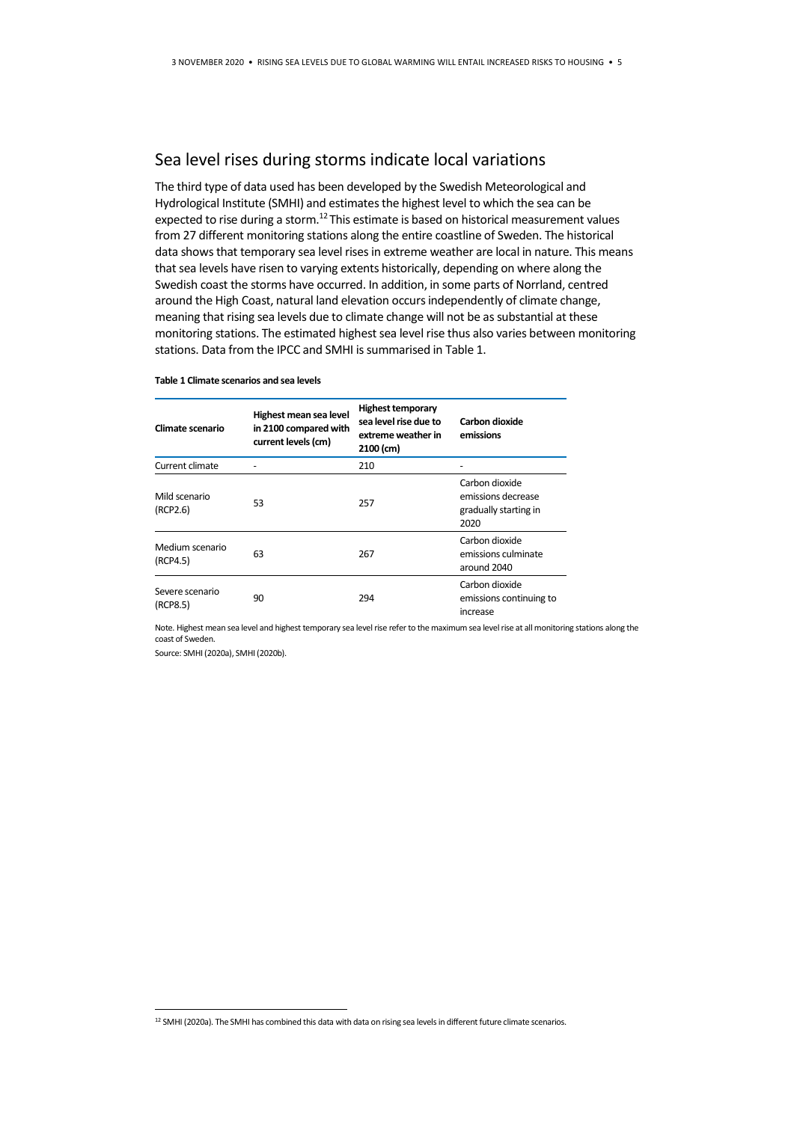#### Sea level rises during storms indicate local variations

The third type of data used has been developed by the Swedish Meteorological and Hydrological Institute (SMHI) and estimates the highest level to which the sea can be expected to rise during a storm.<sup>12</sup> This estimate is based on historical measurement values from 27 different monitoring stations along the entire coastline of Sweden. The historical data shows that temporary sea level rises in extreme weather are local in nature. This means that sea levels have risen to varying extents historically, depending on where along the Swedish coast the storms have occurred. In addition, in some parts of Norrland, centred around the High Coast, natural land elevation occurs independently of climate change, meaning that rising sea levels due to climate change will not be as substantial at these monitoring stations. The estimated highest sea level rise thus also varies between monitoring stations. Data from the IPCC and SMHI is summarised in Table 1.

#### **Table 1 Climate scenarios and sea levels**

| Climate scenario            | Highest mean sea level<br>in 2100 compared with<br>current levels (cm) | <b>Highest temporary</b><br>sea level rise due to<br>extreme weather in<br>2100 (cm) | Carbon dioxide<br>emissions                                           |
|-----------------------------|------------------------------------------------------------------------|--------------------------------------------------------------------------------------|-----------------------------------------------------------------------|
| Current climate             |                                                                        | 210                                                                                  |                                                                       |
| Mild scenario<br>(RCP2.6)   | 53                                                                     | 257                                                                                  | Carbon dioxide<br>emissions decrease<br>gradually starting in<br>2020 |
| Medium scenario<br>(RCP4.5) | 63                                                                     | 267                                                                                  | Carbon dioxide<br>emissions culminate<br>around 2040                  |
| Severe scenario<br>(RCP8.5) | 90                                                                     | 294                                                                                  | Carbon dioxide<br>emissions continuing to<br>increase                 |

Note. Highest mean sea level and highest temporary sea level rise refer to the maximum sea level rise at all monitoring stations along the coast of Sweden.

Source: SMHI (2020a), SMHI (2020b).

1

<sup>12</sup> SMHI (2020a). The SMHI has combined this data with data on rising sea levels in different future climate scenarios.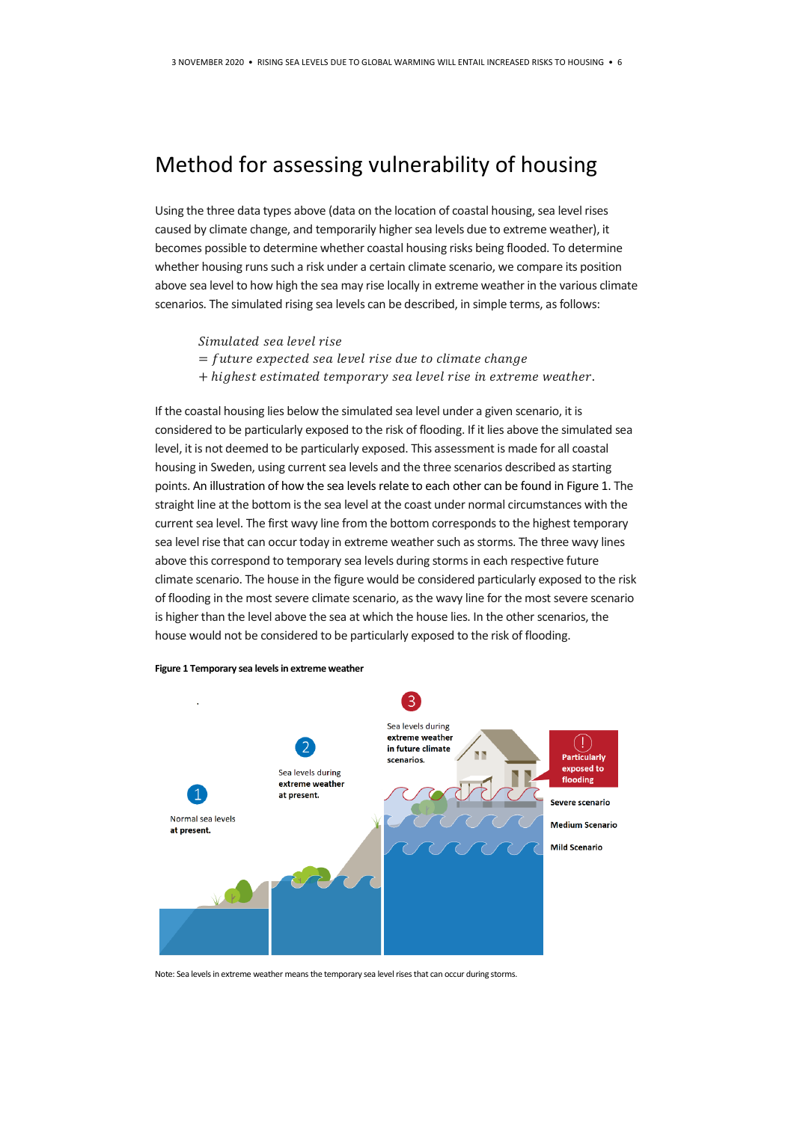## Method for assessing vulnerability of housing

Using the three data types above (data on the location of coastal housing, sea level rises caused by climate change, and temporarily higher sea levels due to extreme weather), it becomes possible to determine whether coastal housing risks being flooded. To determine whether housing runs such a risk under a certain climate scenario, we compare its position above sea level to how high the sea may rise locally in extreme weather in the various climate scenarios. The simulated rising sea levels can be described, in simple terms, as follows:

Simulated sea level rise

- $=$  future expected sea level rise due to climate change
- + highest estimated temporary sea level rise in extreme weather.

If the coastal housing lies below the simulated sea level under a given scenario, it is considered to be particularly exposed to the risk of flooding. If it lies above the simulated sea level, it is not deemed to be particularly exposed. This assessment is made for all coastal housing in Sweden, using current sea levels and the three scenarios described as starting points. An illustration of how the sea levels relate to each other can be found in Figure 1. The straight line at the bottom is the sea level at the coast under normal circumstances with the current sea level. The first wavy line from the bottom corresponds to the highest temporary sea level rise that can occur today in extreme weather such as storms. The three wavy lines above this correspond to temporary sea levels during storms in each respective future climate scenario. The house in the figure would be considered particularly exposed to the risk of flooding in the most severe climate scenario, as the wavy line for the most severe scenario is higher than the level above the sea at which the house lies. In the other scenarios, the house would not be considered to be particularly exposed to the risk of flooding.



**Figure 1 Temporary sea levels in extreme weather**

Note: Sea levels in extreme weather means the temporary sea level rises that can occur during storms.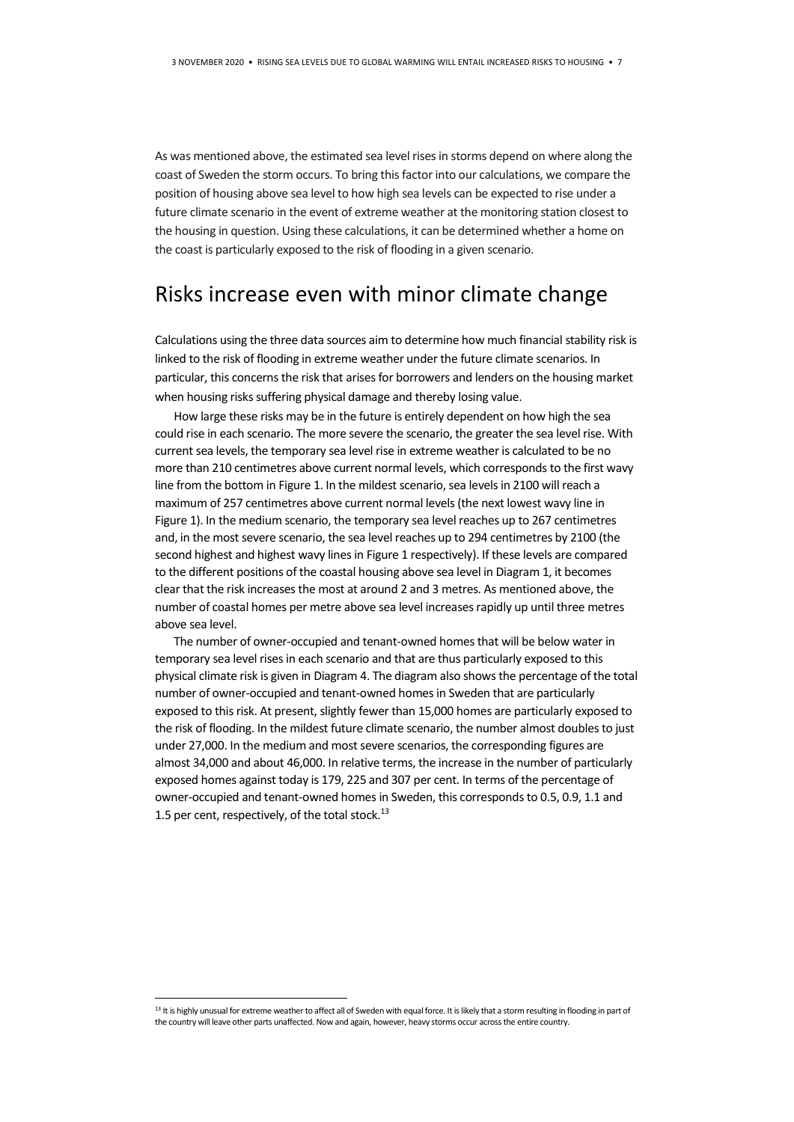As was mentioned above, the estimated sea level rises in storms depend on where along the coast of Sweden the storm occurs. To bring this factor into our calculations, we compare the position of housing above sea level to how high sea levels can be expected to rise under a future climate scenario in the event of extreme weather at the monitoring station closest to the housing in question. Using these calculations, it can be determined whether a home on the coast is particularly exposed to the risk of flooding in a given scenario.

## Risks increase even with minor climate change

Calculations using the three data sources aim to determine how much financial stability risk is linked to the risk of flooding in extreme weather under the future climate scenarios. In particular, this concerns the risk that arises for borrowers and lenders on the housing market when housing risks suffering physical damage and thereby losing value.

How large these risks may be in the future is entirely dependent on how high the sea could rise in each scenario. The more severe the scenario, the greater the sea level rise. With current sea levels, the temporary sea level rise in extreme weather is calculated to be no more than 210 centimetres above current normal levels, which corresponds to the first wavy line from the bottom in Figure 1. In the mildest scenario, sea levels in 2100 will reach a maximum of 257 centimetres above current normal levels (the next lowest wavy line in Figure 1). In the medium scenario, the temporary sea level reaches up to 267 centimetres and, in the most severe scenario, the sea level reaches up to 294 centimetres by 2100 (the second highest and highest wavy lines in Figure 1 respectively). If these levels are compared to the different positions of the coastal housing above sea level in [Diagram 1,](#page-2-0) it becomes clear that the risk increases the most at around 2 and 3 metres. As mentioned above, the number of coastal homes per metre above sea level increases rapidly up until three metres above sea level.

The number of owner-occupied and tenant-owned homes that will be below water in temporary sea level rises in each scenario and that are thus particularly exposed to this physical climate risk is given i[n Diagram 4.](#page-7-0) The diagram also shows the percentage of the total number of owner-occupied and tenant-owned homes in Sweden that are particularly exposed to this risk. At present, slightly fewer than 15,000 homes are particularly exposed to the risk of flooding. In the mildest future climate scenario, the number almost doubles to just under 27,000. In the medium and most severe scenarios, the corresponding figures are almost 34,000 and about 46,000. In relative terms, the increase in the number of particularly exposed homes against today is 179, 225 and 307 per cent. In terms of the percentage of owner-occupied and tenant-owned homes in Sweden, this corresponds to 0.5, 0.9, 1.1 and 1.5 per cent, respectively, of the total stock. $^{13}$ 

<u>.</u>

<sup>&</sup>lt;sup>13</sup> It is highly unusual for extreme weather to affect all of Sweden with equal force. It is likely that a storm resulting in flooding in part of the country will leave other parts unaffected. Now and again, however, heavy storms occur across the entire country.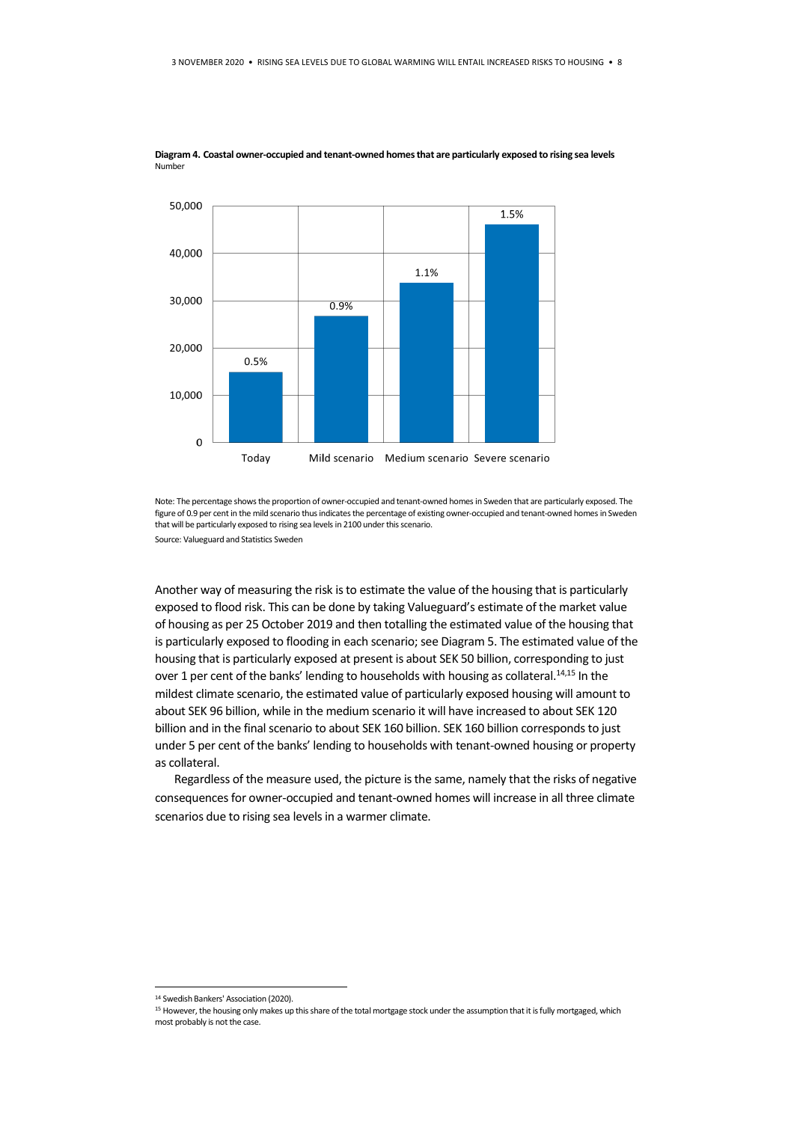

<span id="page-7-0"></span>**Diagram 4. Coastal owner-occupied and tenant-owned homes that are particularly exposed to rising sea levels** Number

Note: The percentage shows the proportion of owner-occupied and tenant-owned homes in Sweden that are particularly exposed. The figure of 0.9 per cent in the mild scenario thus indicates the percentage of existing owner-occupied and tenant-owned homes in Sweden that will be particularly exposed to rising sea levels in 2100 under this scenario.

Source: Valueguard and Statistics Sweden

Another way of measuring the risk is to estimate the value of the housing that is particularly exposed to flood risk. This can be done by taking Valueguard's estimate of the market value of housing as per 25 October 2019 and then totalling the estimated value of the housing that is particularly exposed to flooding in each scenario; se[e Diagram 5.](#page-8-0) The estimated value of the housing that is particularly exposed at present is about SEK 50 billion, corresponding to just over 1 per cent of the banks' lending to households with housing as collateral.<sup>14,15</sup> In the mildest climate scenario, the estimated value of particularly exposed housing will amount to about SEK 96 billion, while in the medium scenario it will have increased to about SEK 120 billion and in the final scenario to about SEK 160 billion. SEK 160 billion corresponds to just under 5 per cent of the banks' lending to households with tenant-owned housing or property as collateral.

 Regardless of the measure used, the picture is the same, namely that the risks of negative consequences for owner-occupied and tenant-owned homes will increase in all three climate scenarios due to rising sea levels in a warmer climate.

**.** 

<sup>14</sup> Swedish Bankers' Association (2020).

<sup>&</sup>lt;sup>15</sup> However, the housing only makes up this share of the total mortgage stock under the assumption that it is fully mortgaged, which most probably is not the case.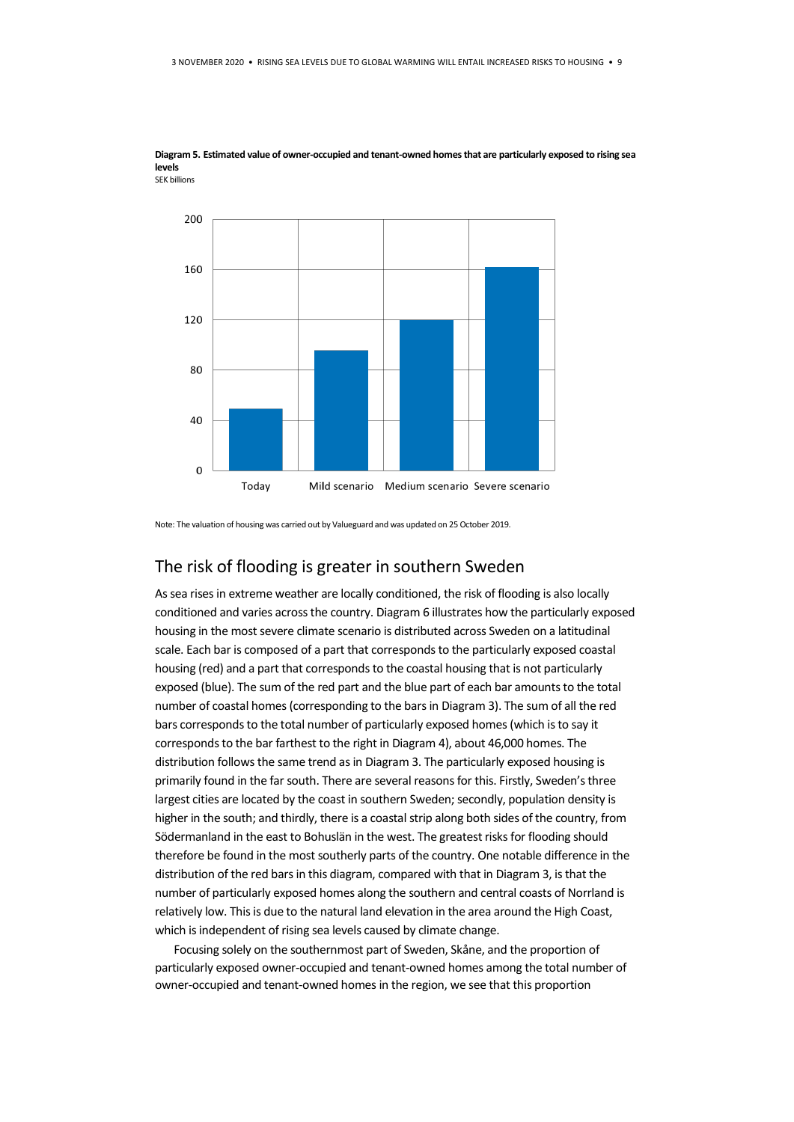

<span id="page-8-0"></span>**Diagram 5. Estimated value of owner-occupied and tenant-owned homes that are particularly exposed to rising sea levels** SEK billions

Note: The valuation of housing was carried out by Valueguard and was updated on 25 October 2019.

#### The risk of flooding is greater in southern Sweden

As sea rises in extreme weather are locally conditioned, the risk of flooding is also locally conditioned and varies across the country[. Diagram 6](#page-9-0) illustrates how the particularly exposed housing in the most severe climate scenario is distributed across Sweden on a latitudinal scale. Each bar is composed of a part that corresponds to the particularly exposed coastal housing (red) and a part that corresponds to the coastal housing that is not particularly exposed (blue). The sum of the red part and the blue part of each bar amounts to the total number of coastal homes (corresponding to the bars i[n Diagram 3\)](#page-3-1). The sum of all the red bars corresponds to the total number of particularly exposed homes (which is to say it corresponds to the bar farthest to the right i[n Diagram 4\)](#page-7-0), about 46,000 homes. The distribution follows the same trend as in [Diagram 3.](#page-3-1) The particularly exposed housing is primarily found in the far south. There are several reasons for this. Firstly, Sweden's three largest cities are located by the coast in southern Sweden; secondly, population density is higher in the south; and thirdly, there is a coastal strip along both sides of the country, from Södermanland in the east to Bohuslän in the west. The greatest risks for flooding should therefore be found in the most southerly parts of the country. One notable difference in the distribution of the red bars in this diagram, compared with that in [Diagram 3,](#page-3-1) is that the number of particularly exposed homes along the southern and central coasts of Norrland is relatively low. This is due to the natural land elevation in the area around the High Coast, which is independent of rising sea levels caused by climate change.

Focusing solely on the southernmost part of Sweden, Skåne, and the proportion of particularly exposed owner-occupied and tenant-owned homes among the total number of owner-occupied and tenant-owned homes in the region, we see that this proportion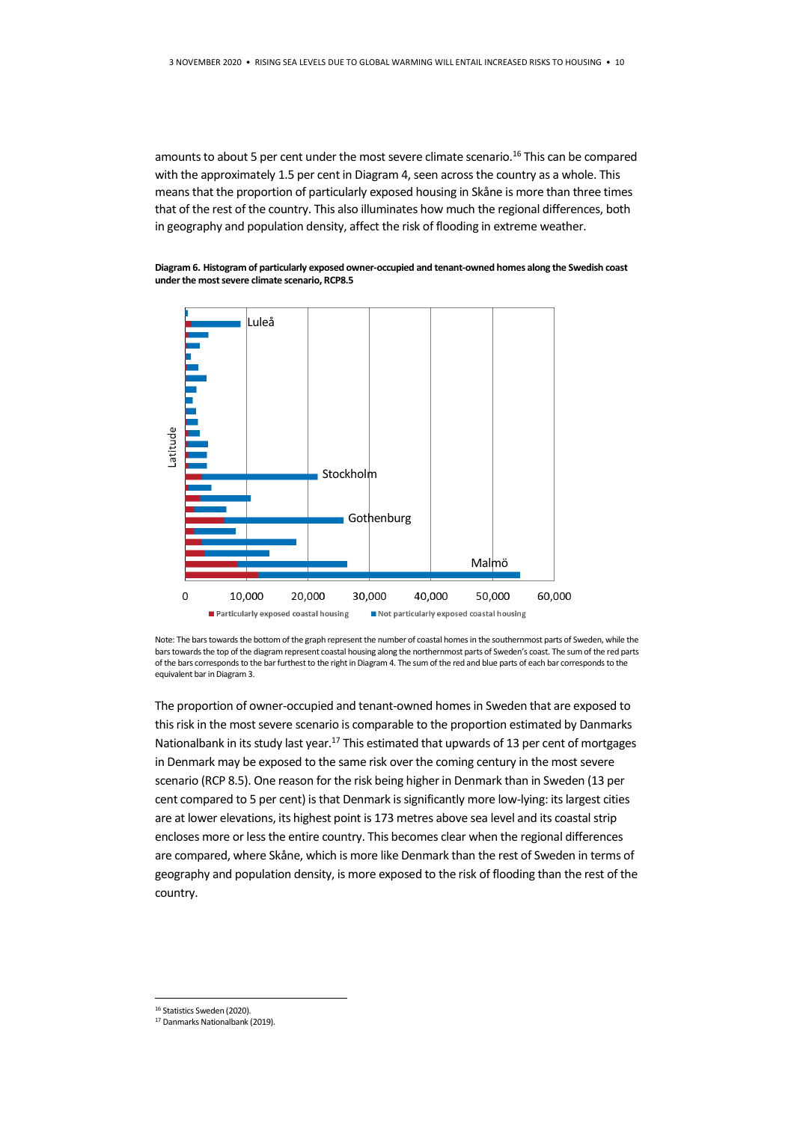amounts to about 5 per cent under the most severe climate scenario.<sup>16</sup> This can be compared with the approximately 1.5 per cent i[n Diagram 4,](#page-7-0) seen across the country as a whole. This means that the proportion of particularly exposed housing in Skåne is more than three times that of the rest of the country. This also illuminates how much the regional differences, both in geography and population density, affect the risk of flooding in extreme weather.

<span id="page-9-0"></span>**Diagram 6. Histogram of particularly exposed owner-occupied and tenant-owned homes along the Swedish coast under the most severe climate scenario, RCP8.5**



Note: The bars towards the bottom of the graph represent the number of coastal homes in the southernmost parts of Sweden, while the bars towards the top of the diagram represent coastal housing along the northernmost parts of Sweden's coast. The sum of the red parts of the bars corresponds to the bar furthest to the right in Diagram 4. The sum of the red and blue parts of each bar corresponds to the equivalent bar i[n Diagram 3.](#page-3-1)

The proportion of owner-occupied and tenant-owned homes in Sweden that are exposed to this risk in the most severe scenario is comparable to the proportion estimated by Danmarks Nationalbank in its study last year.<sup>17</sup> This estimated that upwards of 13 per cent of mortgages in Denmark may be exposed to the same risk over the coming century in the most severe scenario (RCP 8.5). One reason for the risk being higher in Denmark than in Sweden (13 per cent compared to 5 per cent) is that Denmark is significantly more low-lying: its largest cities are at lower elevations, its highest point is 173 metres above sea level and its coastal strip encloses more or less the entire country. This becomes clear when the regional differences are compared, where Skåne, which is more like Denmark than the rest of Sweden in terms of geography and population density, is more exposed to the risk of flooding than the rest of the country.

<u>.</u>

<sup>&</sup>lt;sup>16</sup> Statistics Sweden (2020).

<sup>17</sup> Danmarks Nationalbank (2019).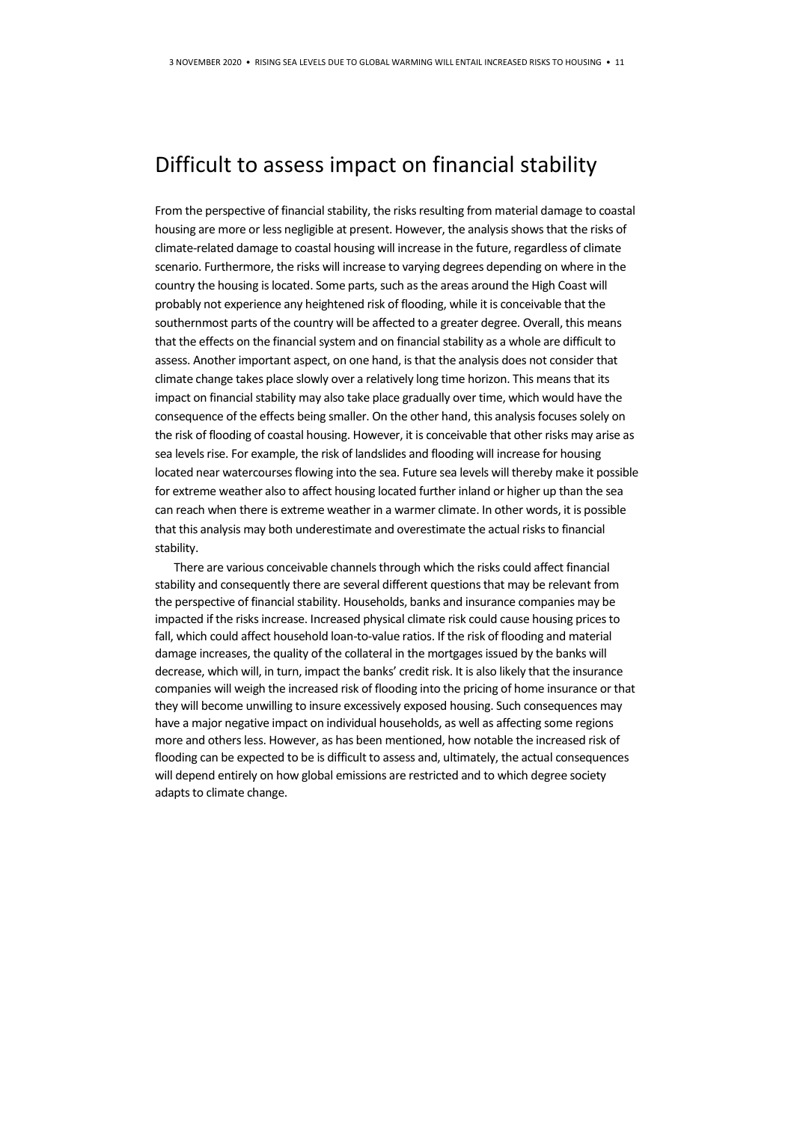### Difficult to assess impact on financial stability

From the perspective of financial stability, the risks resulting from material damage to coastal housing are more or less negligible at present. However, the analysis shows that the risks of climate-related damage to coastal housing will increase in the future, regardless of climate scenario. Furthermore, the risks will increase to varying degrees depending on where in the country the housing is located. Some parts, such as the areas around the High Coast will probably not experience any heightened risk of flooding, while it is conceivable that the southernmost parts of the country will be affected to a greater degree. Overall, this means that the effects on the financial system and on financial stability as a whole are difficult to assess. Another important aspect, on one hand, is that the analysis does not consider that climate change takes place slowly over a relatively long time horizon. This means that its impact on financial stability may also take place gradually over time, which would have the consequence of the effects being smaller. On the other hand, this analysis focuses solely on the risk of flooding of coastal housing. However, it is conceivable that other risks may arise as sea levels rise. For example, the risk of landslides and flooding will increase for housing located near watercourses flowing into the sea. Future sea levels will thereby make it possible for extreme weather also to affect housing located further inland or higher up than the sea can reach when there is extreme weather in a warmer climate. In other words, it is possible that this analysis may both underestimate and overestimate the actual risks to financial stability.

There are various conceivable channels through which the risks could affect financial stability and consequently there are several different questions that may be relevant from the perspective of financial stability. Households, banks and insurance companies may be impacted if the risks increase. Increased physical climate risk could cause housing prices to fall, which could affect household loan-to-value ratios. If the risk of flooding and material damage increases, the quality of the collateral in the mortgages issued by the banks will decrease, which will, in turn, impact the banks' credit risk. It is also likely that the insurance companies will weigh the increased risk of flooding into the pricing of home insurance or that they will become unwilling to insure excessively exposed housing. Such consequences may have a major negative impact on individual households, as well as affecting some regions more and others less. However, as has been mentioned, how notable the increased risk of flooding can be expected to be is difficult to assess and, ultimately, the actual consequences will depend entirely on how global emissions are restricted and to which degree society adapts to climate change.